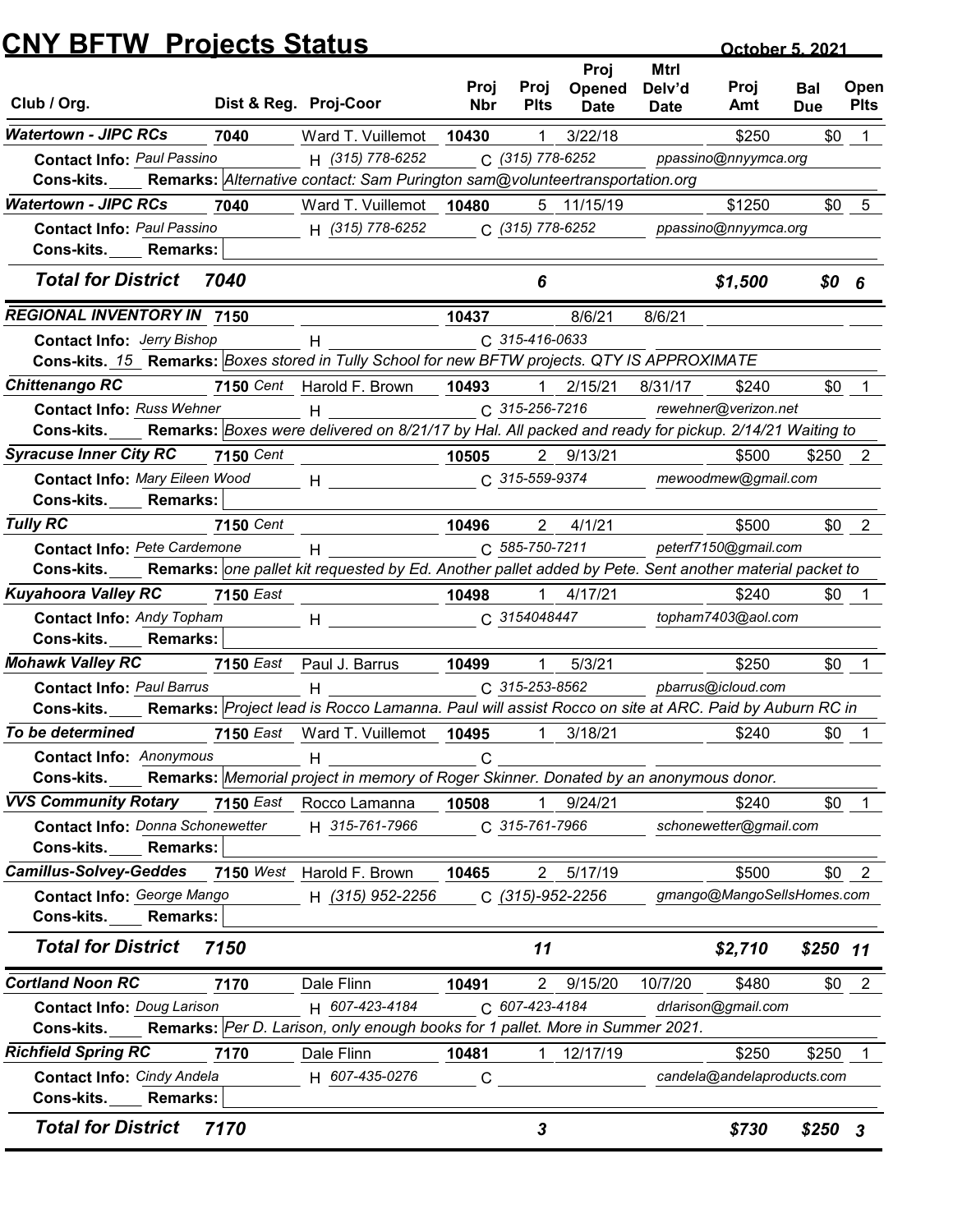|                                                                                                                                                     |                  | <b>CNY BFTW Projects Status</b>                                                                        |                    |                       |                                      |                               | October 5, 2021            |                          |                     |
|-----------------------------------------------------------------------------------------------------------------------------------------------------|------------------|--------------------------------------------------------------------------------------------------------|--------------------|-----------------------|--------------------------------------|-------------------------------|----------------------------|--------------------------|---------------------|
| Club / Org.                                                                                                                                         |                  | Dist & Reg. Proj-Coor                                                                                  | Proj<br><b>Nbr</b> | Proj<br><b>Plts</b>   | Proj<br><b>Opened</b><br><b>Date</b> | Mtrl<br>Delv'd<br><b>Date</b> | Proj<br>Amt                | <b>Bal</b><br><b>Due</b> | Open<br><b>Plts</b> |
| <b>Watertown - JIPC RCs</b>                                                                                                                         | 7040             | Ward T. Vuillemot                                                                                      | 10430              | -1                    | 3/22/18                              |                               | \$250                      | \$0                      |                     |
| <b>Contact Info: Paul Passino</b><br>Cons-kits.                                                                                                     |                  | H (315) 778-6252<br>Remarks: Alternative contact: Sam Purington sam@volunteertransportation.org        |                    | C (315) 778-6252      |                                      |                               | ppassino@nnyymca.org       |                          |                     |
| <b>Watertown - JIPC RCs</b>                                                                                                                         | 7040             | Ward T. Vuillemot                                                                                      | 10480              |                       | 5 11/15/19                           |                               | \$1250                     | \$0                      | 5                   |
| <b>Contact Info: Paul Passino</b><br>Cons-kits.<br><b>Remarks:</b>                                                                                  |                  | H (315) 778-6252                                                                                       |                    | C (315) 778-6252      |                                      |                               | ppassino@nnyymca.org       |                          |                     |
| <b>Total for District</b>                                                                                                                           | 7040             |                                                                                                        |                    | 6                     |                                      |                               | \$1,500                    | $$0$ 6                   |                     |
| <b>REGIONAL INVENTORY IN 7150</b>                                                                                                                   |                  |                                                                                                        | 10437              |                       | 8/6/21                               | 8/6/21                        |                            |                          |                     |
| <b>Contact Info: Jerry Bishop</b>                                                                                                                   |                  |                                                                                                        |                    | C 315-416-0633        |                                      |                               |                            |                          |                     |
| Cons-kits. 15 Remarks: Boxes stored in Tully School for new BFTW projects. QTY IS APPROXIMATE                                                       |                  |                                                                                                        |                    |                       |                                      |                               |                            |                          |                     |
| <b>Chittenango RC</b>                                                                                                                               |                  | 7150 Cent Harold F. Brown                                                                              | 10493              |                       | 2/15/21                              | 8/31/17                       | \$240                      | \$0                      |                     |
| <b>Contact Info: Russ Wehner</b><br>Cons-kits. Remarks: Boxes were delivered on 8/21/17 by Hal. All packed and ready for pickup. 2/14/21 Waiting to |                  | H                                                                                                      |                    | $C. 315 - 256 - 7216$ |                                      |                               | rewehner@verizon.net       |                          |                     |
| <b>Syracuse Inner City RC</b>                                                                                                                       | <b>7150 Cent</b> |                                                                                                        | 10505              |                       | 2 9/13/21                            |                               | \$500                      | $$250$ 2                 |                     |
| Contact Info: Mary Eileen Wood                                                                                                                      |                  | $H$ and $H$ and $H$ and $H$ and $H$ and $H$                                                            |                    | C 315-559-9374        |                                      |                               | mewoodmew@gmail.com        |                          |                     |
| Cons-kits.<br><b>Remarks:</b>                                                                                                                       |                  |                                                                                                        |                    |                       |                                      |                               |                            |                          |                     |
| <b>Tully RC</b>                                                                                                                                     | 7150 Cent        |                                                                                                        | 10496              | $2^{\circ}$           | 4/1/21                               |                               | \$500                      |                          | $$0 \quad 2$        |
| Contact Info: Pete Cardemone                                                                                                                        |                  | H                                                                                                      |                    | C 585-750-7211        |                                      |                               | peterf7150@gmail.com       |                          |                     |
| Cons-kits.                                                                                                                                          |                  | Remarks: one pallet kit requested by Ed. Another pallet added by Pete. Sent another material packet to |                    |                       |                                      |                               |                            |                          |                     |
| <b>Kuyahoora Valley RC</b>                                                                                                                          | <b>7150 East</b> |                                                                                                        | 10498              |                       | $1 \quad 4/17/21$                    |                               | \$240                      | \$0                      |                     |
| <b>Contact Info: Andy Topham</b>                                                                                                                    |                  | $H$ and $H$                                                                                            |                    | C 3154048447          |                                      |                               | topham7403@aol.com         |                          |                     |
| Cons-kits.<br><b>Remarks:</b>                                                                                                                       |                  |                                                                                                        |                    |                       |                                      |                               |                            |                          |                     |
| <b>Mohawk Valley RC</b>                                                                                                                             |                  | 7150 East Paul J. Barrus                                                                               | 10499              | -1                    | 5/3/21                               |                               | \$250                      | \$0                      |                     |
| <b>Contact Info: Paul Barrus</b>                                                                                                                    |                  | H                                                                                                      |                    | C 315-253-8562        |                                      |                               | pbarrus@icloud.com         |                          |                     |
| Cons-kits. Remarks: Project lead is Rocco Lamanna. Paul will assist Rocco on site at ARC. Paid by Auburn RC in                                      |                  |                                                                                                        |                    |                       |                                      |                               |                            |                          |                     |
| To be determined                                                                                                                                    |                  | 7150 East Ward T. Vuillemot 10495                                                                      |                    | $\overline{1}$        | 3/18/21                              |                               | \$240                      | \$0                      |                     |
| <b>Contact Info: Anonymous</b><br>Cons-kits. Remarks: Memorial project in memory of Roger Skinner. Donated by an anonymous donor.                   |                  | H                                                                                                      | C                  |                       |                                      |                               |                            |                          |                     |
| <b>VVS Community Rotary</b>                                                                                                                         |                  | 7150 East Rocco Lamanna                                                                                | 10508              | $\overline{1}$        | 9/24/21                              |                               | \$240                      |                          | $$0 \quad 1$        |
| <b>Contact Info: Donna Schonewetter</b>                                                                                                             |                  | H 315-761-7966                                                                                         |                    | C 315-761-7966        |                                      |                               | schonewetter@gmail.com     |                          |                     |
| Cons-kits.<br><b>Remarks:</b>                                                                                                                       |                  |                                                                                                        |                    |                       |                                      |                               |                            |                          |                     |
| <b>Camillus-Solvey-Geddes</b>                                                                                                                       |                  | 7150 West Harold F. Brown                                                                              | 10465              |                       | 2 5/17/19                            |                               | \$500                      |                          | $$0 \quad 2$        |
| Contact Info: George Mango                                                                                                                          |                  | H (315) 952-2256                                                                                       |                    |                       | C (315)-952-2256                     |                               | gmango@MangoSellsHomes.com |                          |                     |
| Cons-kits.<br><b>Remarks:</b>                                                                                                                       |                  |                                                                                                        |                    |                       |                                      |                               |                            |                          |                     |
| <b>Total for District</b>                                                                                                                           | 7150             |                                                                                                        |                    | 11                    |                                      |                               | \$2,710                    | $$250$ 11                |                     |
| <b>Cortland Noon RC</b>                                                                                                                             | 7170             | Dale Flinn                                                                                             | 10491              |                       | 2 9/15/20                            | 10/7/20                       | \$480                      |                          | $$0$ 2              |
| <b>Contact Info: Doug Larison</b>                                                                                                                   |                  | H 607-423-4184                                                                                         |                    | C 607-423-4184        |                                      |                               | drlarison@gmail.com        |                          |                     |
| Cons-kits.                                                                                                                                          |                  | Remarks: Per D. Larison, only enough books for 1 pallet. More in Summer 2021.                          |                    |                       |                                      |                               |                            |                          |                     |
| <b>Richfield Spring RC</b>                                                                                                                          | 7170             | Dale Flinn                                                                                             | 10481              | $\mathbf{1}$          | 12/17/19                             |                               | \$250                      | \$250                    |                     |
| <b>Contact Info: Cindy Andela</b><br>Cons-kits._____ Remarks:                                                                                       |                  | H 607-435-0276                                                                                         | C                  |                       |                                      |                               | candela@andelaproducts.com |                          |                     |
|                                                                                                                                                     |                  |                                                                                                        |                    |                       |                                      |                               |                            |                          |                     |
| <b>Total for District</b>                                                                                                                           | 7170             |                                                                                                        |                    | 3                     |                                      |                               | \$730                      | $$250$ 3                 |                     |